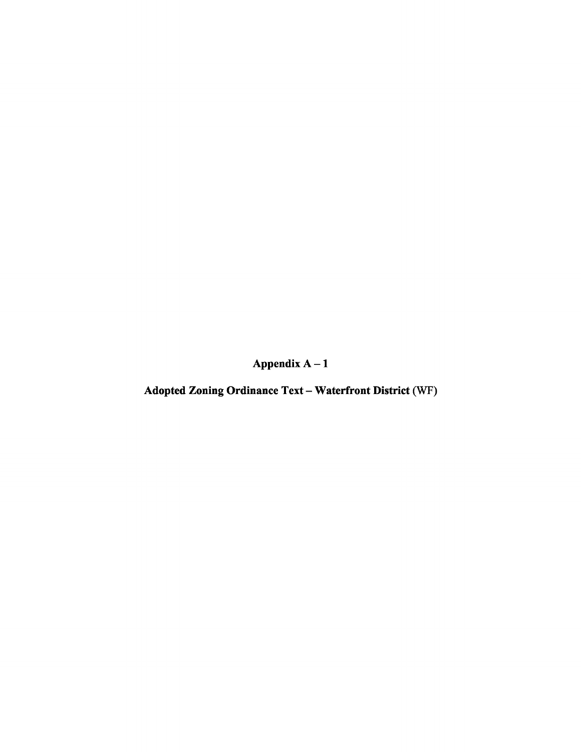Appendix A-1

Adopted Zoning Ordinance Text - Waterfront District (WF)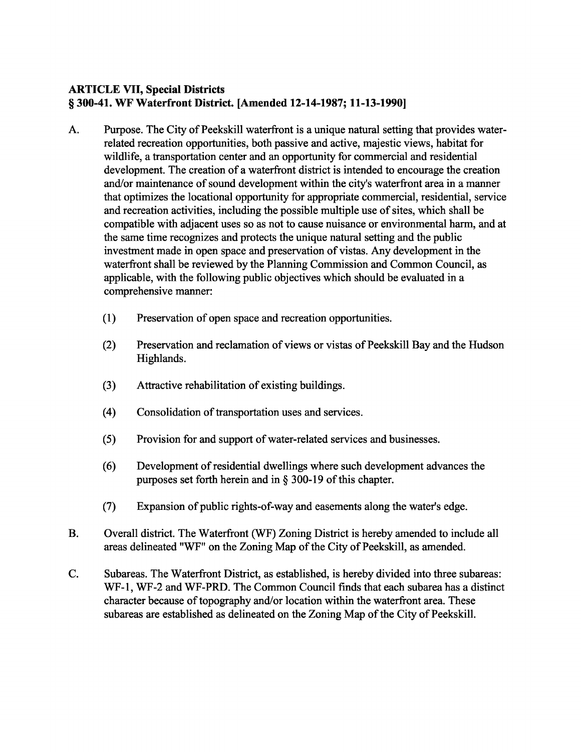# ARTICLE VII, Special Districts § 300-41. WF Waterfront District. [Amended 12-14-1987; 11-13-1990]

- A. Purpose. The City of Peekskill waterfront is a unique natural setting that provides waterrelated recreation opportunities, both passive and active, majestic views, habitat for wildlife, a transportation center and an opportunity for commercial and residential development. The creation of a waterfront district is intended to encourage the creation and/or maintenance of sound development within the city's waterfront area in a manner that optimizes the locational opportunity for appropriate commercial, residential, service and recreation activities, including the possible multiple use of sites, which shall be compatible with adjacent uses so as not to cause nuisance or environmental harm, and at the same time recognizes and protects the unique natural setting and the public investment made in open space and preservation of vistas. Any development in the waterfront shall be reviewed by the Planning Commission and Common Council, as applicable, with the following public objectives which should be evaluated in a comprehensive manner:
	- (1) Preservation of open space and recreation opportunities.
	- (2) Preservation and reclamation of views or vistas of Peekskill Bay and the Hudson Highlands.
	- (3) Attractive rehabilitation of existing buildings.
	- (4) Consolidation of transportation uses and services.
	- (5) Provision for and support of water-related services and businesses.
	- (6) Development ofresidential dwellings where such development advances the purposes set forth herein and in  $\S$  300-19 of this chapter.
	- (7) Expansion of public rights-of-way and easements along the water's edge.
- B. Overall district. The Waterfront (WF) Zoning District is hereby amended to include all areas delineated "WF" on the Zoning Map of the City of Peekskill, as amended.
- C. Subareas. The Waterfront District, as established, is hereby divided into three subareas: WF-1, WF-2 and WF-PRD. The Common Council finds that each subarea has a distinct character because of topography and/or location within the waterfront area. These subareas are established as delineated on the Zoning Map of the City of Peekskill.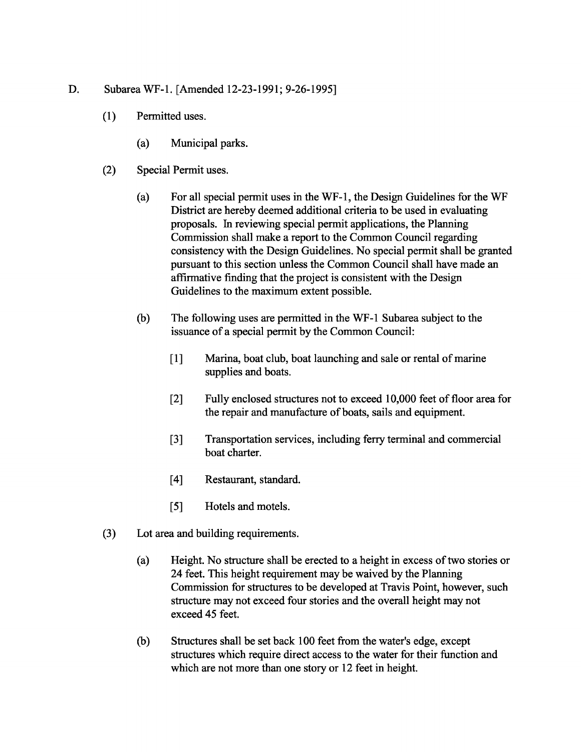- D. Subarea WF-l. [Amended 12-23-1991; 9-26-1995]
	- (1) Permitted uses.
		- (a) Municipal parks.
	- (2) Special Permit uses.
		- (a) For all special permit uses in the WF-l, the Design Guidelines for the WF District are hereby deemed additional criteria to be used in evaluating proposals. In reviewing special permit applications, the Planning Commission shall make a report to the Common Council regarding consistency with the Design Guidelines. No special permit shall be granted pursuant to this section unless the Common Council shall have made an affirmative finding that the project is consistent with the Design Guidelines to the maximum extent possible.
		- (b) The following uses are permitted in the WF-1 Subarea subject to the issuance of a special permit by the Common Council:
			- [1] Marina, boat club, boat launching and sale or rental of marine supplies and boats.
			- [2] Fully enclosed structures not to exceed 10,000 feet of floor area for the repair and manufacture of boats, sails and equipment.
			- [3] Transportation services, including ferry terminal and commercial boat charter.
			- [4] Restaurant, standard.
			- [5] Hotels and motels.
	- (3) Lot area and building requirements.
		- (a) Height. No structure shall be erected to a height in excess oftwo stories or 24 feet. This height requirement may be waived by the Planning Commission for structures to be developed at Travis Point, however, such structure may not exceed four stories and the overall height may not exceed 45 feet.
		- (b) Structures shall be set back 100 feet from the water's edge, except structures which require direct access to the water for their function and which are not more than one story or 12 feet in height.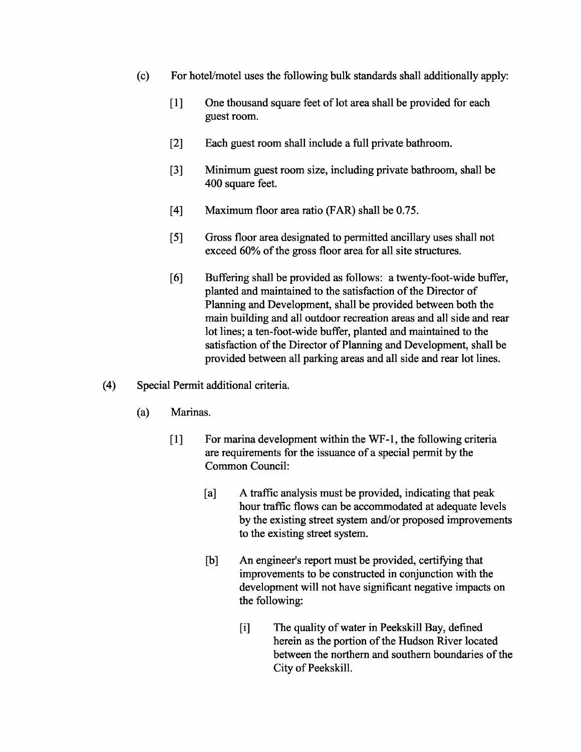- (c) For hotel/motel uses the following bulk standards shall additionally apply:
	- [1] One thousand square feet of lot area shall be provided for each guest room.
	- [2] Each guest room shall include a full private bathroom.
	- [3] Minimum guest room size, including private bathroom, shall be 400 square feet.
	- [4] Maximum floor area ratio (FAR) shall be 0.75.
	- [5] Gross floor area designated to permitted ancillary uses shall not exceed 60% of the gross floor area for all site structures.
	- [6] Buffering shall be provided as follows: a twenty-foot-wide buffer, planted and maintained to the satisfaction of the Director of Planning and Development, shall be provided between both the main building and all outdoor recreation areas and all side and rear lot lines; a ten-foot-wide buffer, planted and maintained to the satisfaction of the Director of Planning and Development, shall be provided between all parking areas and all side and rear lot lines.
- (4) Special Permit additional criteria.
	- (a) Marinas.
		- [1] For marina development within the WF-l, the following criteria are requirements for the issuance of a special permit by the Common Council:
			- [a] A traffic analysis must be provided, indicating that peak hour traffic flows can be accommodated at adequate levels by the existing street system and/or proposed improvements to the existing street system.
			- [b] An engineer's report must be provided, certifying that improvements to be constructed in conjunction with the development will not have significant negative impacts on the following:
				- [i] The quality of water in Peekskill Bay, defined herein as the portion of the Hudson River located between the northern and southern boundaries of the City of Peekskill.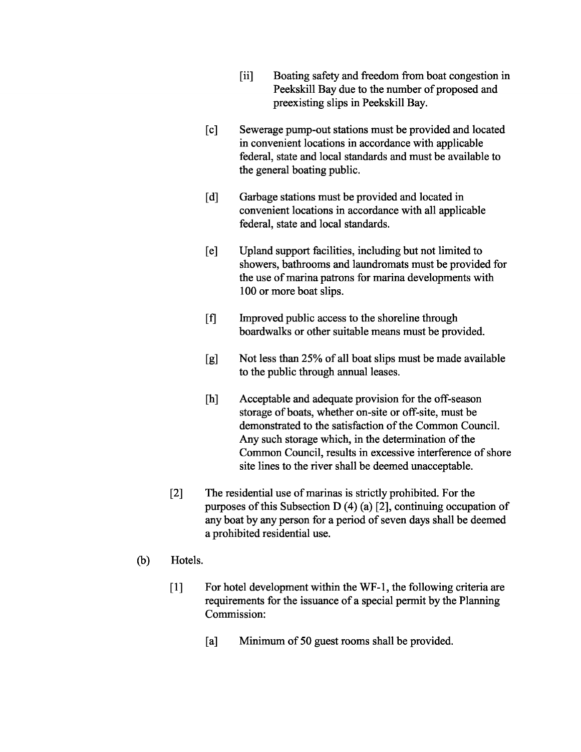- [ii] Boating safety and freedom from boat congestion in Peekskill Bay due to the number of proposed and preexisting slips in Peekskill Bay.
- [c] Sewerage pump-out stations must be provided and located in convenient locations in accordance with applicable federal, state and local standards and must be available to the general boating public.
- [d] Garbage stations must be provided and located in convenient locations in accordance with all applicable federal, state and local standards.
- [e] Upland support facilities, including but not limited to showers, bathrooms and laundromats must be provided for the use of marina patrons for marina developments with 100 or more boat slips.
- [f] Improved public access to the shoreline through boardwalks or other suitable means must be provided.
- [g] Not less than 25% of all boat slips must be made available to the public through annual leases.
- [h] Acceptable and adequate provision for the off-season storage of boats, whether on-site or off-site, must be demonstrated to the satisfaction of the Common Council. Any such storage which, in the determination of the Common Council, results in excessive interference of shore site lines to the river shall be deemed unacceptable.
- [2] The residential use of marinas is strictly prohibited. For the purposes of this Subsection D  $(4)$  (a) [2], continuing occupation of any boat by any person for a period of seven days shall be deemed a prohibited residential use.
- (b) Hotels.
	- [1] For hotel development within the WF-1, the following criteria are requirements for the issuance of a special permit by the Planning Commission:
		- [a] Minimum of 50 guest rooms shall be provided.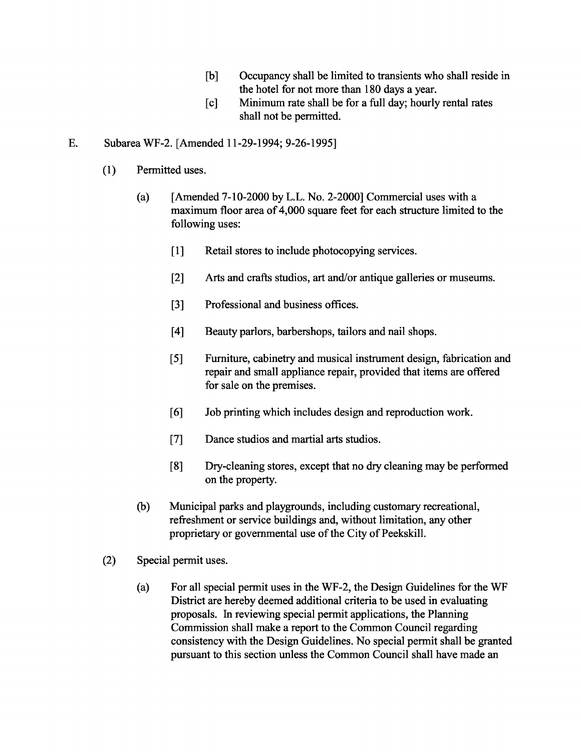- [b] Occupancy shall be limited to transients who shall reside in the hotel for not more than 180 days a year.
- [c] Minimum rate shall be for a full day; hourly rental rates shall not be permitted.

### E. Subarea WF-2. [Amended 11-29-1994; 9-26-1995]

- (1) Permitted uses.
	- (a)  $[Amended 7-10-2000 by L.L. No. 2-2000] Commercial uses with a$ maximum floor area of 4,000 square feet for each structure limited to the following uses:
		- [1] Retail stores to include photocopying services.
		- [2] Arts and crafts studios, art and/or antique galleries or museums.
		- [3] Professional and business offices.
		- [4] Beauty parlors, barbershops, tailors and nail shops.
		- [5] Furniture, cabinetry and musical instrument design, fabrication and repair and small appliance repair, provided that items are offered for sale on the premises.
		- [6] Job printing which includes design and reproduction work.
		- [7] Dance studios and martial arts studios.
		- [8] Dry-cleaning stores, except that no dry cleaning may be performed on the property.
	- (b) Municipal parks and playgrounds, including customary recreational, refreshment or service buildings and, without limitation, any other proprietary or governmental use of the City of Peekskill.
- (2) Special permit uses.
	- (a) For all special permit uses in the WF-2, the Design Guidelines for the WF District are hereby deemed additional criteria to be used in evaluating proposals. In reviewing special permit applications, the Planning Commission shall make a report to the Common Council regarding consistency with the Design Guidelines. No special permit shall be granted pursuant to this section unless the Common Council shall have made an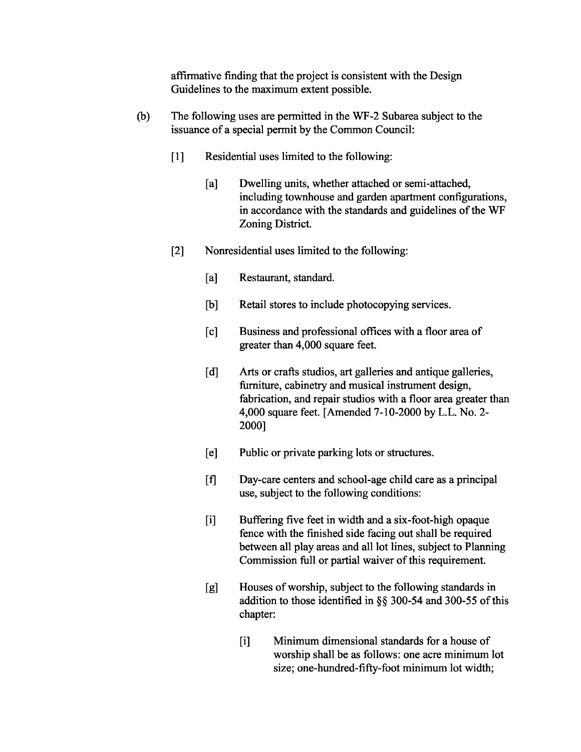affirmative finding that the project is consistent with the Design Guidelines to the maximum extent possible.

- (b) The following uses are permitted in the WF-2 Subarea subject to the issuance of a special permit by the Common Council:
	- [1] Residential uses limited to the following:
		- [a] Dwelling units, whether attached or semi-attached, including townhouse and garden apartment configurations, in accordance with the standards and guidelines of the WF Zoning District.
	- [2] Nonresidential uses limited to the following:
		- [a] Restaurant, standard.
		- [b] Retail stores to include photocopying services.
		- [c] Business and professional offices with a floor area of greater than 4,000 square feet.
		- [d] Arts or crafts studios, art galleries and antique galleries, furniture, cabinetry and musical instrument design, fabrication, and repair studios with a floor area greater than 4,000 square feet. [Amended 7-10-2000 by L.L. No. 2- 2000]
		- [e] Public or private parking lots or structures.
		- [f] Day-care centers and school-age child care as a principal use, subject to the following conditions:
		- [i] Buffering five feet in width and a six-foot-high opaque fence with the finished side facing out shall be required between all play areas and all lot lines, subject to Planning Commission full or partial waiver of this requirement.
		- [g] Houses of worship, subject to the following standards in addition to those identified in  $\S$ § 300-54 and 300-55 of this chapter:
			- [i] Minimum dimensional standards for a house of worship shall be as follows: one acre minimum lot size; one-hundred-fifty-foot minimum lot width;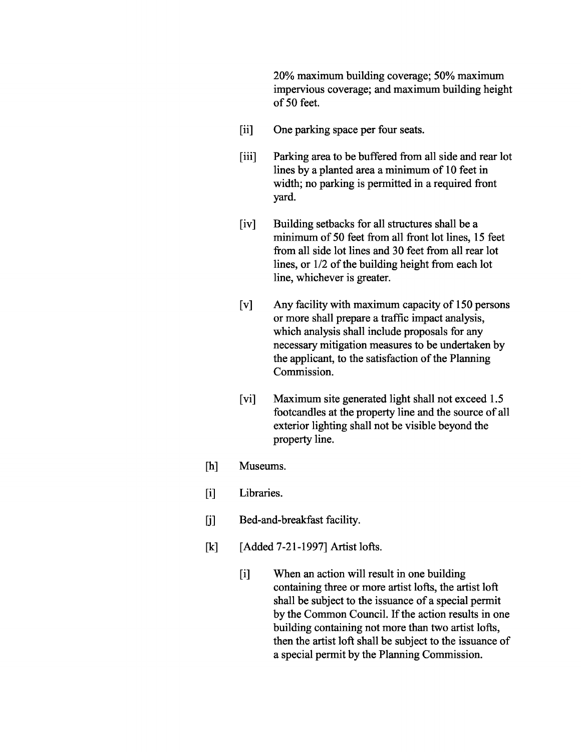20% maximum building coverage; 50% maximum impervious coverage; and maximum building height of 50 feet.

- [ii] One parking space per four seats.
- [iii] Parking area to be buffered from all side and rear lot lines by a planted area a minimum of 10 feet in width; no parking is permitted in a required front yard.
- [iv] Building setbacks for all structures shall be a minimum of 50 feet from all front lot lines, 15 feet from all side lot lines and 30 feet from all rear lot lines, or  $1/2$  of the building height from each lot line, whichever is greater.
- [v] Any facility with maximum capacity of 150 persons or more shall prepare a traffic impact analysis, which analysis shall include proposals for any necessary mitigation measures to be undertaken by the applicant, to the satisfaction of the Planning Commission.
- [vi] Maximum site generated light shall not exceed 1.5 footcandles at the property line and the source of all exterior lighting shall not be visible beyond the property line.
- [h] Museums.
- [i] Libraries.
- [j] Bed-and-breakfast facility.
- [k] [Added 7-21-1997] Artist lofts.
	- [i] When an action will result in one building containing three or more artist lofts, the artist 10ft shall be subject to the issuance of a special permit by the Common Council. If the action results in one building containing not more than two artist lofts, then the artist 10ft shall be subject to the issuance of a special permit by the Planning Commission.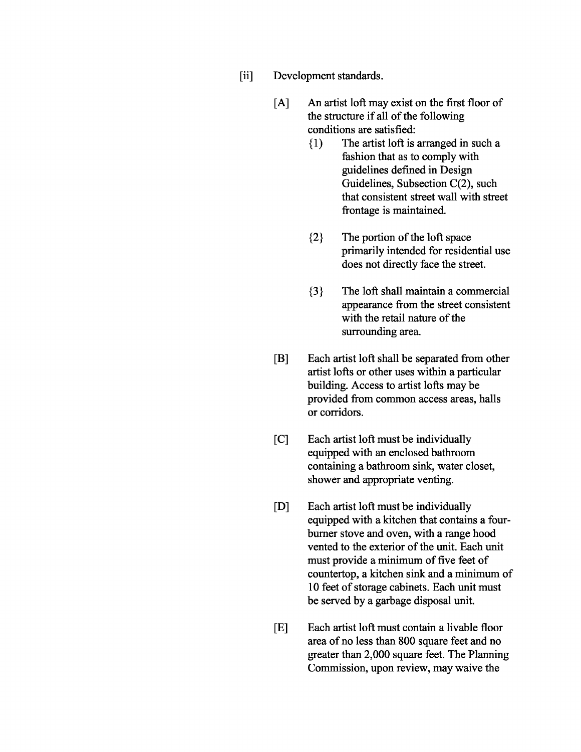- [ii] Development standards.
	- [A] An artist 10ft may exist on the first floor of the structure if all of the following conditions are satisfied:
		- {I) The artist 10ft is arranged in such a fashion that as to comply with guidelines defined in Design Guidelines, Subsection C(2), such that consistent street wall with street frontage is maintained.
		- ${2}$  The portion of the loft space primarily intended for residential use does not directly face the street.
		- {3} The 10ft shall maintain a commercial appearance from the street consistent with the retail nature of the surrounding area.
	- [B] Each artist 10ft shall be separated from other artist lofts or other uses within a particular building. Access to artist lofts may be provided from common access areas, halls or corridors.
	- [C] Each artist 10ft must be individually equipped with an enclosed bathroom containing a bathroom sink, water closet, shower and appropriate venting.
	- [D] Each artist 10ft must be individually equipped with a kitchen that contains a fourburner stove and oven, with a range hood vented to the exterior of the unit. Each unit must provide a minimum of five feet of countertop, a kitchen sink and a minimum of 10 feet of storage cabinets. Each unit must be served by a garbage disposal unit.
	- [E] Each artist 10ft must contain a livable floor area of no less than 800 square feet and no greater than 2,000 square feet. The Planning Commission, upon review, may waive the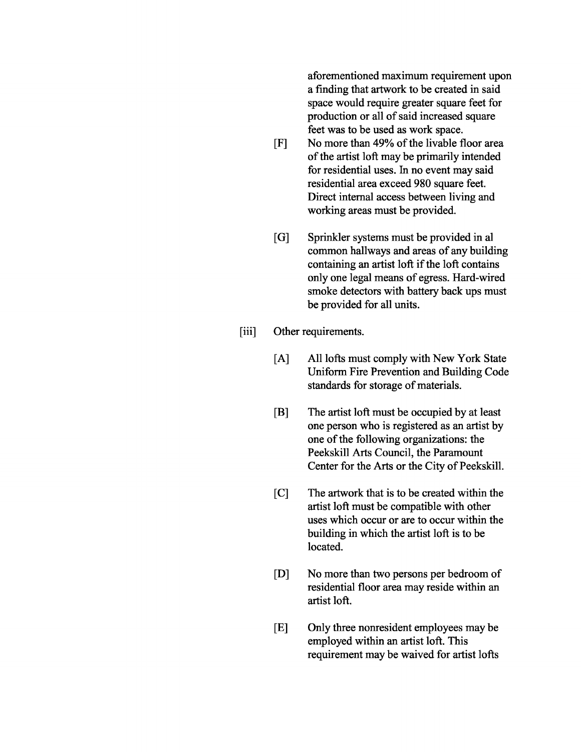aforementioned maximum requirement upon a finding that artwork to be created in said space would require greater square feet for production or all of said increased square feet was to be used as work space.

- [F] No more than 49% of the livable floor area of the artist loft may be primarily intended for residential uses. In no event may said residential area exceed 980 square feet. Direct internal access between living and working areas must be provided.
- [G] Sprinkler systems must be provided in al common hallways and areas of any building containing an artist loft if the loft contains only one legal means of egress. Hard-wired smoke detectors with battery back ups must be provided for all units.
- [iii] Other requirements.
	- [A] All lofts must comply with New York State Uniform Fire Prevention and Building Code standards for storage of materials.
	- [B] The artist 10ft must be occupied by at least one person who is registered as an artist by one of the following organizations: the Peekskill Arts Council, the Paramount Center for the Arts or the City of Peekskill.
	- [C] The artwork that is to be created within the artist 10ft must be compatible with other uses which occur or are to occur within the building in which the artist 10ft is to be located.
	- [D] No more than two persons per bedroom of residential floor area may reside within an artist 10ft.
	- [E] Only three nonresident employees may be employed within an artist 10ft. This requirement may be waived for artist lofts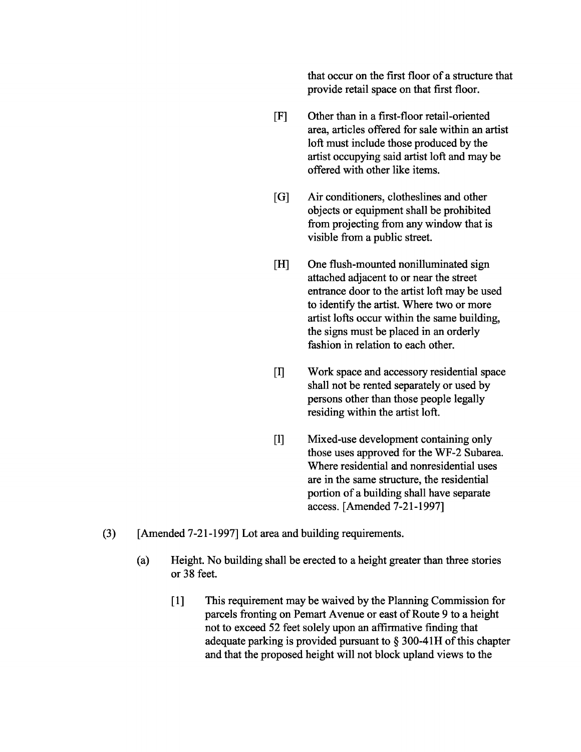that occur on the first floor of a structure that provide retail space on that first floor.

- [F] Other than in a first-floor retail-oriented area, articles offered for sale within an artist 10ft must include those produced by the artist occupying said artist 10ft and may be offered with other like items.
- [G] Air conditioners, clotheslines and other objects or equipment shall be prohibited from projecting from any window that is visible from a public street.
- [H] One flush-mounted nonilluminated sign attached adjacent to or near the street entrance door to the artist 10ft may be used to identify the artist. Where two or more artist lofts occur within the same building, the signs must be placed in an orderly fashion in relation to each other.
- [1] Work space and accessory residential space shall not be rented separately or used by persons other than those people legally residing within the artist 10ft.
- [1] Mixed-use development containing only those uses approved for the WF-2 Subarea. Where residential and nonresidential uses are in the same structure, the residential portion of a building shall have separate access. [Amended 7-21-1997]
- (3) [Amended 7-21-1997] Lot area and building requirements.
	- (a) Height. No building shall be erected to a height greater than three stories or 38 feet.
		- [1] This requirement may be waived by the Planning Commission for parcels fronting on Pemart Avenue or east of Route 9 to a height not to exceed 52 feet solely upon an affirmative finding that adequate parking is provided pursuant to  $\S$  300-41H of this chapter and that the proposed height will not block upland views to the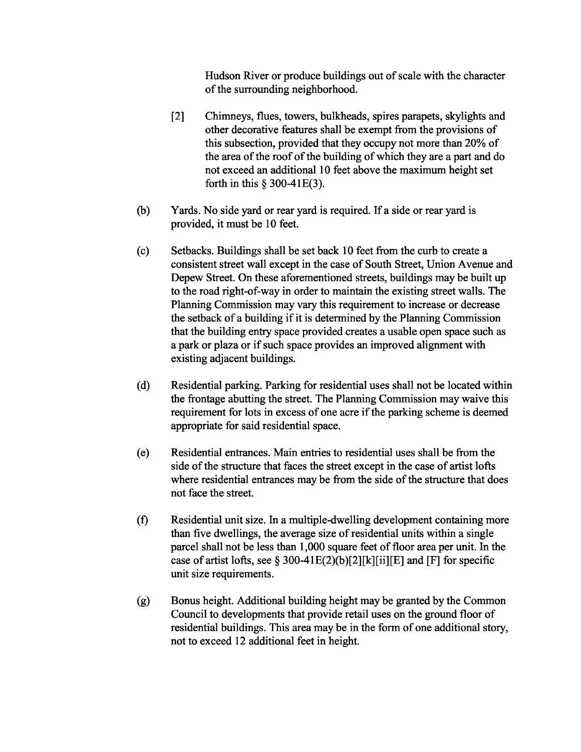Hudson River or produce buildings out of scale with the character of the surrounding neighborhood.

- [2] Chimneys, flues, towers, bulkheads, spires parapets, skylights and other decorative features shall be exempt from the provisions of this subsection, provided that they occupy not more than 20% of the area of the roof of the building of which they are a part and do not exceed an additional 10 feet above the maximum height set forth in this § 300-4IE(3).
- (b) Yards. No side yard or rear yard is required. If a side or rear yard is provided, it must be 10 feet.
- (c) Setbacks. Buildings shall be set back 10 feet from the curb to create a consistent street wall except in the case of South Street, Union Avenue and Depew Street. On these aforementioned streets, buildings may be built up to the road right-of-way in order to maintain the existing street walls. The Planning Commission may vary this requirement to increase or decrease the setback of a building if it is determined by the Planning Commission that the building entry space provided creates a usable open space such as a park or plaza or if such space provides an improved alignment with existing adjacent buildings.
- (d) Residential parking. Parking for residential uses shall not be located within the frontage abutting the street. The Planning Commission may waive this requirement for lots in excess of one acre if the parking scheme is deemed appropriate for said residential space.
- (e) Residential entrances. Main entries to residential uses shall be from the side of the structure that faces the street except in the case of artist lofts where residential entrances may be from the side of the structure that does not face the street.
- (f) Residential unit size. In a multiple-dwelling development containing more than five dwellings, the average size of residential units within a single parcel shall not be less than 1,000 square feet of floor area per unit. In the case of artist lofts, see § 300-41E(2)(b)[2][k][ii][E] and [F] for specific unit size requirements.
- (g) Bonus height. Additional building height may be granted by the Common Council to developments that provide retail uses on the ground floor of residential buildings. This area may be in the form of one additional story, not to exceed 12 additional feet in height.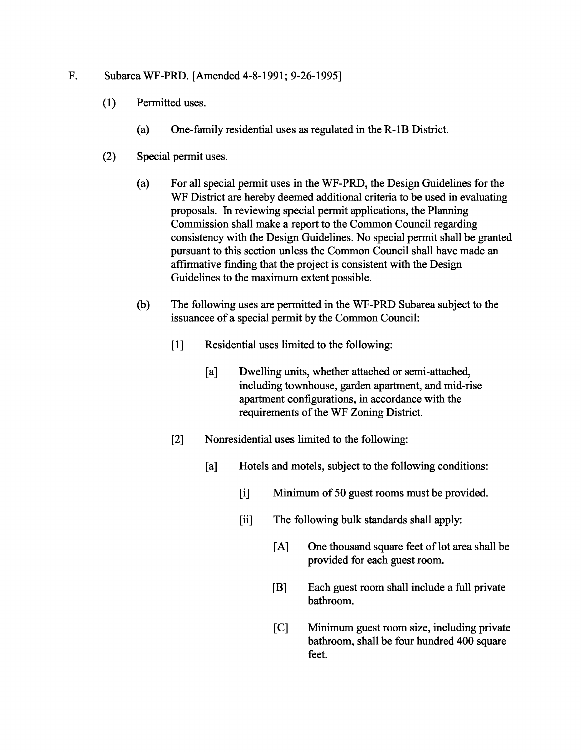#### F. Subarea WF-PRD. [Amended 4-8-1991; 9-26-1995]

- (1) Permitted uses.
	- (a) One-family residential uses as regulated in the R-1B District.
- (2) Special permit uses.
	- (a) For all special permit uses in the WF-PRD, the Design Guidelines for the WF District are hereby deemed additional criteria to be used in evaluating proposals. In reviewing special permit applications, the Planning Commission shall make a report to the Common Council regarding consistency with the Design Guidelines. No special permit shall be granted pursuant to this section unless the Common Council shall have made an affirmative finding that the project is consistent with the Design Guidelines to the maximum extent possible.
	- (b) The following uses are permitted in the WF-PRD Subarea subject to the issuancee of a special permit by the Common Council:
		- [1] Residential uses limited to the following:
			- [a] Dwelling units, whether attached or semi-attached, including townhouse, garden apartment, and mid-rise apartment configurations, in accordance with the requirements of the WF Zoning District.
		- [2] Nonresidential uses limited to the following:
			- [a] Hotels and motels, subject to the following conditions:
				- [i] Minimum of 50 guest rooms must be provided.
				- [ii] The following bulk standards shall apply:
					- [A] One thousand square feet of lot area shall be provided for each guest room.
					- [B] Each guest room shall include a full private bathroom.
					- [C] Minimum guest room size, including private bathroom, shall be four hundred 400 square feet.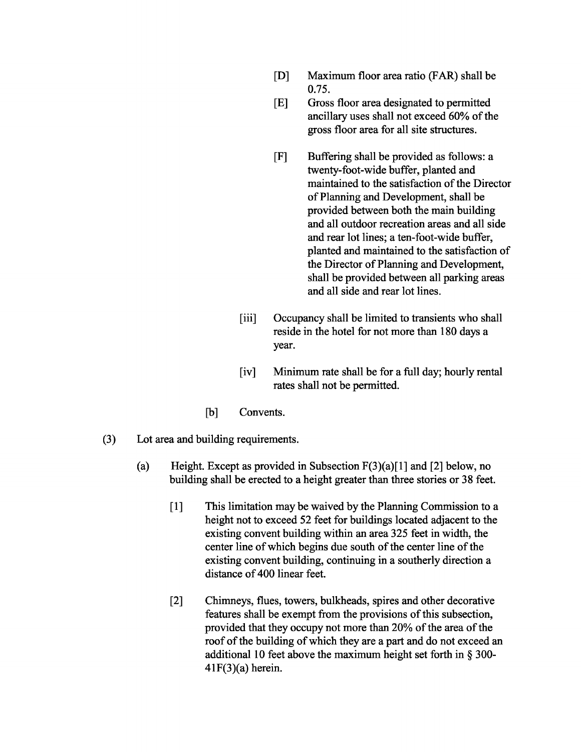- [D] Maximum floor area ratio (FAR) shall be 0.75.
- [E] Gross floor area designated to permitted ancillary uses shall not exceed 60% of the gross floor area for all site structures.
- [F] Buffering shall be provided as follows: a twenty-foot-wide buffer, planted and maintained to the satisfaction of the Director ofPlanning and Development, shall be provided between both the main building and all outdoor recreation areas and all side and rear lot lines; a ten-foot-wide buffer, planted and maintained to the satisfaction of the Director of Planning and Development, shall be provided between all parking areas and all side and rear lot lines.
- [iii] Occupancy shall be limited to transients who shall reside in the hotel for not more than 180 days a year.
- [iv] Minimum rate shall be for a full day; hourly rental rates shall not be permitted.
- [b] Convents.
- (3) Lot area and building requirements.
	- (a) Height. Except as provided in Subsection  $F(3)(a)[1]$  and [2] below, no building shall be erected to a height greater than three stories or 38 feet.
		- [1] This limitation may be waived by the Planning Commission to a height not to exceed 52 feet for buildings located adjacent to the existing convent building within an area 325 feet in width, the center line of which begins due south of the center line of the existing convent building, continuing in a southerly direction a distance of 400 linear feet.
		- [2] Chimneys, flues, towers, bulkheads, spires and other decorative features shall be exempt from the provisions of this subsection, provided that they occupy not more than 20% of the area of the roof of the building of which they are a part and do not exceed an additional 10 feet above the maximum height set forth in § 300-  $41F(3)(a)$  herein.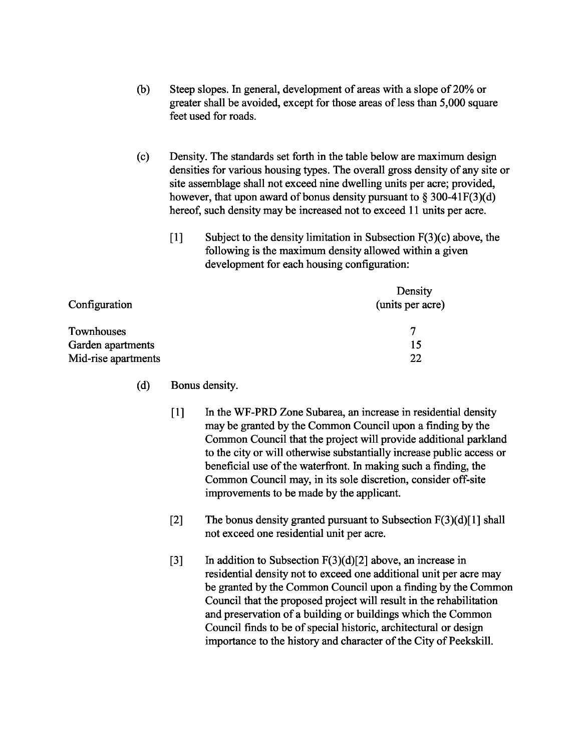- (b) Steep slopes. In general, development of areas with a slope of 20% or greater shall be avoided, except for those areas of less than 5,000 square feet used for roads.
- (c) Density. The standards set forth in the table below are maximum design densities for various housing types. The overall gross density of any site or site assemblage shall not exceed nine dwelling units per acre; provided, however, that upon award of bonus density pursuant to  $\S 300-41F(3)(d)$ hereof, such density may be increased not to exceed 11 units per acre.
	- [1] Subject to the density limitation in Subsection  $F(3)(c)$  above, the following is the maximum density allowed within a given development for each housing configuration:

| Configuration       | Density          |
|---------------------|------------------|
|                     | (units per acre) |
| Townhouses          |                  |
| Garden apartments   | 15               |
| Mid-rise apartments | 22               |

- (d) Bonus density.
	- [1] In the WF-PRD Zone Subarea, an increase in residential density may be granted by the Common Council upon a finding by the Common Council that the project will provide additional parkland to the city or will otherwise substantially increase public access or beneficial use of the waterfront. In making such a finding, the Common Council may, in its sole discretion, consider off-site improvements to be made by the applicant.
	- [2] The bonus density granted pursuant to Subsection  $F(3)(d)[1]$  shall not exceed one residential unit per acre.
	- [3] In addition to Subsection  $F(3)(d)[2]$  above, an increase in residential density not to exceed one additional unit per acre may be granted by the Common Council upon a finding by the Common Council that the proposed project will result in the rehabilitation and preservation of a building or buildings which the Common Council finds to be of special historic, architectural or design importance to the history and character of the City of Peekskill.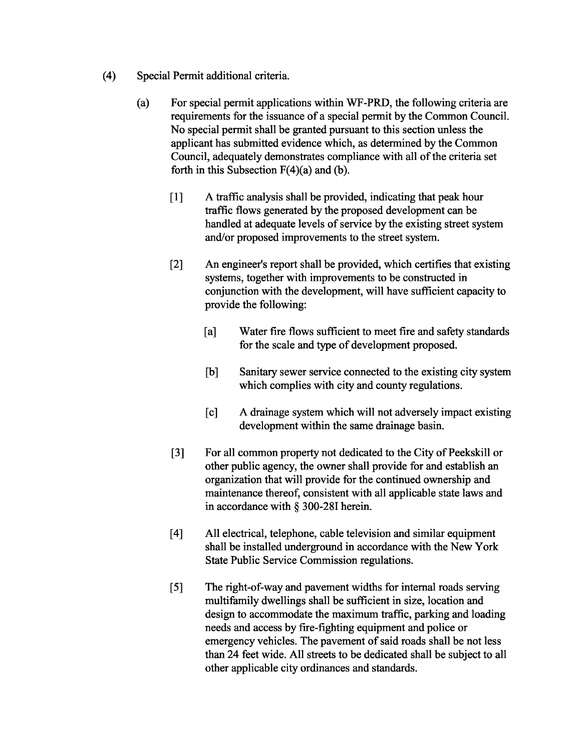- (4) Special Permit additional criteria.
	- (a) For special permit applications within WF-PRD, the following criteria are requirements for the issuance of a special permit by the Common Council. No special permit shall be granted pursuant to this section unless the applicant has submitted evidence which, as determined by the Common Council, adequately demonstrates compliance with all of the criteria set forth in this Subsection  $F(4)(a)$  and (b).
		- [I] A traffic analysis shall be provided, indicating that peak hour traffic flows generated by the proposed development can be handled at adequate levels of service by the existing street system and/or proposed improvements to the street system.
		- [2] An engineer's report shall be provided, which certifies that existing systems, together with improvements to be constructed in conjunction with the development, will have sufficient capacity to provide the following:
			- [a] Water fire flows sufficient to meet fire and safety standards for the scale and type of development proposed.
			- [b] Sanitary sewer service connected to the existing city system which complies with city and county regulations.
			- [c] A drainage system which will not adversely impact existing development within the same drainage basin.
		- [3] For all common property not dedicated to the City of Peekskill or other public agency, the owner shall provide for and establish an organization that will provide for the continued ownership and maintenance thereof, consistent with all applicable state laws and in accordance with § 300-281 herein.
		- [4] All electrical, telephone, cable television and similar equipment shall be installed underground in accordance with the New York State Public Service Commission regulations.
		- [5] The right-of-way and pavement widths for internal roads serving multifamily dwellings shall be sufficient in size, location and design to accommodate the maximum traffic, parking and loading needs and access by fire-fighting equipment and police or emergency vehicles. The pavement of said roads shall be not less than 24 feet wide. All streets to be dedicated shall be subject to all other applicable city ordinances and standards.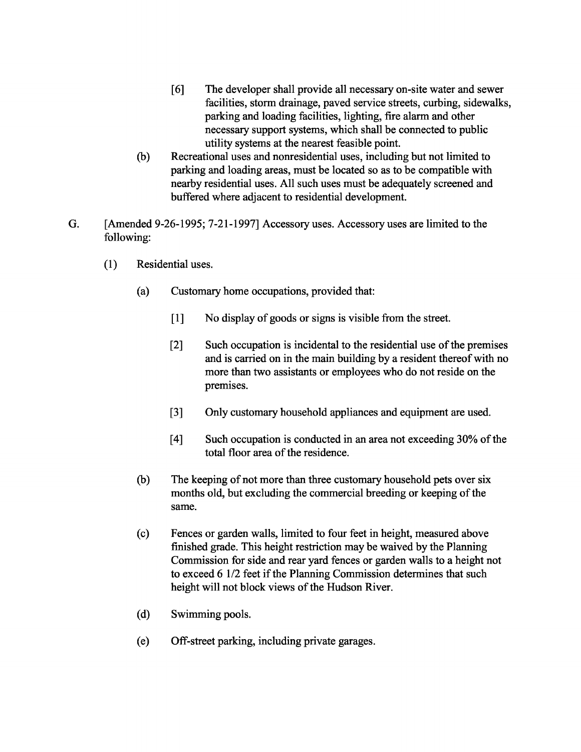- [6] The developer shall provide all necessary on-site water and sewer facilities, storm drainage, paved service streets, curbing, sidewalks, parking and loading facilities, lighting, fire alarm and other necessary support systems, which shall be connected to public utility systems at the nearest feasible point.
- (b) Recreational uses and nonresidential uses, including but not limited to parking and loading areas, must be located so as to be compatible with nearby residential uses. All such uses must be adequately screened and buffered where adjacent to residential development.
- G. [Amended 9-26-1995; 7-21-1997] Accessory uses. Accessory uses are limited to the following:
	- (1) Residential uses.
		- (a) Customary home occupations, provided that:
			- [1] No display of goods or signs is visible from the street.
			- [2] Such occupation is incidental to the residential use of the premises and is carried on in the main building by a resident thereof with no more than two assistants or employees who do not reside on the premises.
			- [3] Only customary household appliances and equipment are used.
			- [4] Such occupation is conducted in an area not exceeding 30% of the total floor area of the residence.
		- (b) The keeping of not more than three customary household pets over six months old, but excluding the commercial breeding or keeping of the same.
		- (c) Fences or garden walls, limited to four feet in height, measured above finished grade. This height restriction may be waived by the Planning Commission for side and rear yard fences or garden walls to a height not to exceed 6 1/2 feet if the Planning Commission determines that such height will not block views of the Hudson River.
		- (d) Swimming pools.
		- (e) Off-street parking, including private garages.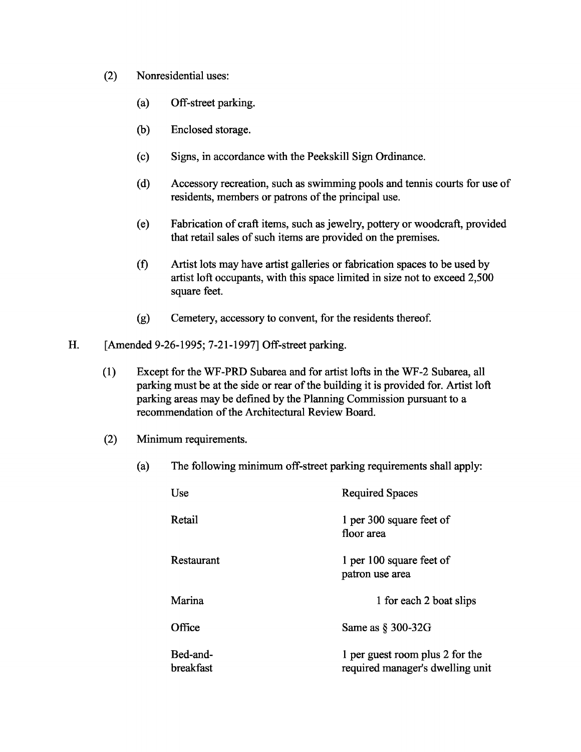- (2) Nonresidential uses:
	- (a) Off-street parking.
	- (b) Enclosed storage.
	- (c) Signs, in accordance with the Peekskill Sign Ordinance.
	- (d) Accessory recreation, such as swimming pools and tennis courts for use of residents, members or patrons of the principal use.
	- (e) Fabrication of craft items, such as jewelry, pottery or woodcraft, provided that retail sales of such items are provided on the premises.
	- (f) Artist lots may have artist galleries or fabrication spaces to be used by artist 10ft occupants, with this space limited in size not to exceed 2,500 square feet.
	- (g) Cemetery, accessory to convent, for the residents thereof.
- H. [Amended 9-26-1995; 7-21-1997] Off-street parking.
	- (1) Except for the WF-PRD Subarea and for artist lofts in the WF-2 Subarea, all parking must be at the side or rear of the building it is provided for. Artist loft parking areas may be defined by the Planning Commission pursuant to a recommendation of the Architectural Review Board.
	- (2) Minimum requirements.
		- (a) The following minimum off-street parking requirements shall apply:

| Use                   | <b>Required Spaces</b>                                              |
|-----------------------|---------------------------------------------------------------------|
| Retail                | 1 per 300 square feet of<br>floor area                              |
| Restaurant            | 1 per 100 square feet of<br>patron use area                         |
| Marina                | 1 for each 2 boat slips                                             |
| Office                | Same as $\S$ 300-32G                                                |
| Bed-and-<br>breakfast | 1 per guest room plus 2 for the<br>required manager's dwelling unit |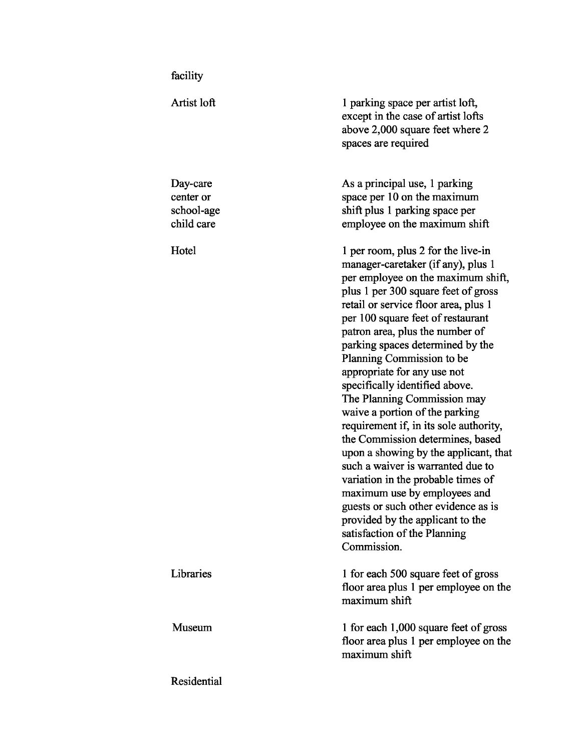| Artist loft                                       | 1 parking space per artist loft,<br>except in the case of artist lofts<br>above 2,000 square feet where 2<br>spaces are required                                                                                                                                                                                                                                                                                                                                                                                                                                                                                                                                                                                                                                                                                                     |
|---------------------------------------------------|--------------------------------------------------------------------------------------------------------------------------------------------------------------------------------------------------------------------------------------------------------------------------------------------------------------------------------------------------------------------------------------------------------------------------------------------------------------------------------------------------------------------------------------------------------------------------------------------------------------------------------------------------------------------------------------------------------------------------------------------------------------------------------------------------------------------------------------|
| Day-care<br>center or<br>school-age<br>child care | As a principal use, 1 parking<br>space per 10 on the maximum<br>shift plus 1 parking space per<br>employee on the maximum shift                                                                                                                                                                                                                                                                                                                                                                                                                                                                                                                                                                                                                                                                                                      |
| Hotel                                             | 1 per room, plus 2 for the live-in<br>manager-caretaker (if any), plus 1<br>per employee on the maximum shift,<br>plus 1 per 300 square feet of gross<br>retail or service floor area, plus 1<br>per 100 square feet of restaurant<br>patron area, plus the number of<br>parking spaces determined by the<br>Planning Commission to be<br>appropriate for any use not<br>specifically identified above.<br>The Planning Commission may<br>waive a portion of the parking<br>requirement if, in its sole authority,<br>the Commission determines, based<br>upon a showing by the applicant, that<br>such a waiver is warranted due to<br>variation in the probable times of<br>maximum use by employees and<br>guests or such other evidence as is<br>provided by the applicant to the<br>satisfaction of the Planning<br>Commission. |
| Libraries                                         | 1 for each 500 square feet of gross<br>floor area plus 1 per employee on the<br>maximum shift                                                                                                                                                                                                                                                                                                                                                                                                                                                                                                                                                                                                                                                                                                                                        |
| <b>Museum</b>                                     | 1 for each 1,000 square feet of gross<br>floor area plus 1 per employee on the<br>maximum shift                                                                                                                                                                                                                                                                                                                                                                                                                                                                                                                                                                                                                                                                                                                                      |
| Residential                                       |                                                                                                                                                                                                                                                                                                                                                                                                                                                                                                                                                                                                                                                                                                                                                                                                                                      |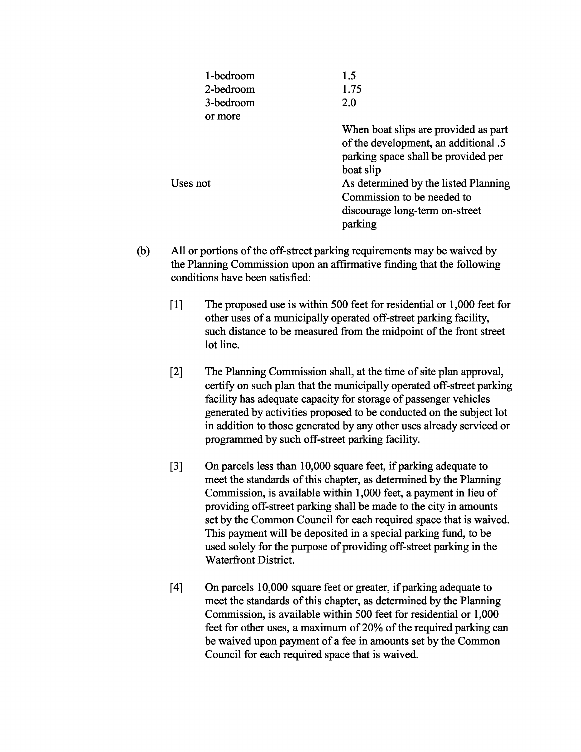| 1-bedroom | 1.5                                                                          |
|-----------|------------------------------------------------------------------------------|
| 2-bedroom | 1.75                                                                         |
| 3-bedroom | 2.0                                                                          |
| or more   |                                                                              |
|           | When boat slips are provided as part<br>of the development, an additional .5 |
|           | parking space shall be provided per                                          |
|           | boat slip                                                                    |
| Uses not  | As determined by the listed Planning                                         |
|           | Commission to be needed to                                                   |
|           | discourage long-term on-street                                               |
|           | parking                                                                      |

- (b) All or portions of the off-street parking requirements may be waived by the Planning Commission upon an affirmative finding that the following conditions have been satisfied:
	- [1] The proposed use is within 500 feet for residential or 1,000 feet for other uses of a municipally operated off-street parking facility, such distance to be measured from the midpoint of the front street lot line.
	- [2] The Planning Commission shall, at the time of site plan approval, certify on such plan that the municipally operated off-street parking facility has adequate capacity for storage of passenger vehicles generated by activities proposed to be conducted on the subject lot in addition to those generated by any other uses already serviced or programmed by such off-street parking facility.
	- [3] On parcels less than 10,000 square feet, if parking adequate to meet the standards of this chapter, as determined by the Planning Commission, is available within 1,000 feet, a payment in lieu of providing off-street parking shall be made to the city in amounts set by the Common Council for each required space that is waived. This payment will be deposited in a special parking fund, to be used solely for the purpose of providing off-street parking in the Waterfront District.
	- [4] On parcels 10,000 square feet or greater, if parking adequate to meet the standards of this chapter, as determined by the Planning Commission, is available within 500 feet for residential or 1,000 feet for other uses, a maximum of 20% of the required parking can be waived upon payment of a fee in amounts set by the Common Council for each required space that is waived.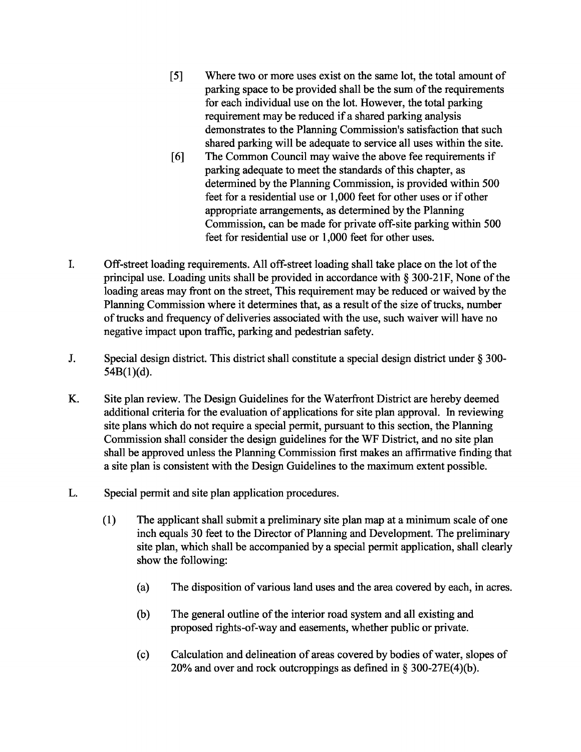- [5] Where two or more uses exist on the same lot, the total amount of parking space to be provided shall be the sum of the requirements for each individual use on the lot. However, the total parking requirement may be reduced if a shared parking analysis demonstrates to the Planning Commission's satisfaction that such shared parking will be adequate to service all uses within the site.
- [6] The Common Council may waive the above fee requirements if parking adequate to meet the standards of this chapter, as determined by the Planning Commission, is provided within 500 feet for a residential use or 1,000 feet for other uses or if other appropriate arrangements, as determined by the Planning Commission, can be made for private off-site parking within 500 feet for residential use or 1,000 feet for other uses.
- I. Off-street loading requirements. All off-street loading shall take place on the lot of the principal use. Loading units shall be provided in accordance with  $\S 300-21$  F, None of the loading areas may front on the street, This requirement may be reduced or waived by the Planning Commission where it determines that, as a result of the size of trucks, number of trucks and frequency of deliveries associated with the use, such waiver will have no negative impact upon traffic, parking and pedestrian safety.
- J. Special design district. This district shall constitute a special design district under § 300-  $54B(1)(d)$ .
- K. Site plan review. The Design Guidelines for the Waterfront District are hereby deemed additional criteria for the evaluation of applications for site plan approval. In reviewing site plans which do not require a special permit, pursuant to this section, the Planning Commission shall consider the design guidelines for the WF District, and no site plan shall be approved unless the Planning Commission first makes an affirmative finding that a site plan is consistent with the Design Guidelines to the maximum extent possible.
- L. Special permit and site plan application procedures.
	- (1) The applicant shall submit a preliminary site plan map at a minimum scale of one inch equals 30 feet to the Director of Planning and Development. The preliminary site plan, which shall be accompanied by a special permit application, shall clearly show the following:
		- (a) The disposition ofvarious land uses and the area covered by each, in acres.
		- (b) The general outline of the interior road system and all existing and proposed rights-of-way and easements, whether public or private.
		- (c) Calculation and delineation of areas covered by bodies of water, slopes of 20% and over and rock outcroppings as defined in § 300-27E(4)(b).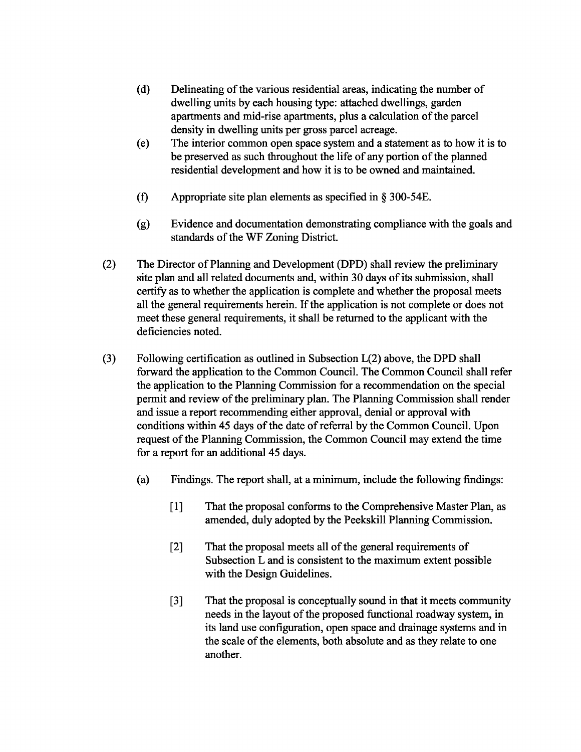- (d) Delineating of the various residential areas, indicating the number of dwelling units by each housing type: attached dwellings, garden apartments and mid-rise apartments, plus a calculation of the parcel density in dwelling units per gross parcel acreage.
- (e) The interior common open space system and a statement as to how it is to be preserved as such throughout the life of any portion of the planned residential development and how it is to be owned and maintained.
- (f) Appropriate site plan elements as specified in § 300-54E.
- (g) Evidence and documentation demonstrating compliance with the goals and standards of the WF Zoning District.
- (2) The Director of Planning and Development (DPD) shall review the preliminary site plan and all related documents and, within 30 days of its submission, shall certify as to whether the application is complete and whether the proposal meets all the general requirements herein. Ifthe application is not complete or does not meet these general requirements, it shall be returned to the applicant with the deficiencies noted.
- (3) Following certification as outlined in Subsection L(2) above, the DPD shall forward the application to the Common Council. The Common Council shall refer the application to the Planning Commission for a recommendation on the special permit and review of the preliminary plan. The Planning Commission shall render and issue a report recommending either approval, denial or approval with conditions within 45 days of the date of referral by the Common Council. Upon request of the Planning Commission, the Common Council may extend the time for a report for an additional 45 days.
	- (a) Findings. The report shall, at a minimum, include the following findings:
		- [1] That the proposal conforms to the Comprehensive Master Plan, as amended, duly adopted by the Peekskill Planning Commission.
		- [2] That the proposal meets all of the general requirements of Subsection L and is consistent to the maximum extent possible with the Design Guidelines.
		- [3] That the proposal is conceptually sound in that it meets community needs in the layout of the proposed functional roadway system, in its land use configuration, open space and drainage systems and in the scale of the elements, both absolute and as they relate to one another.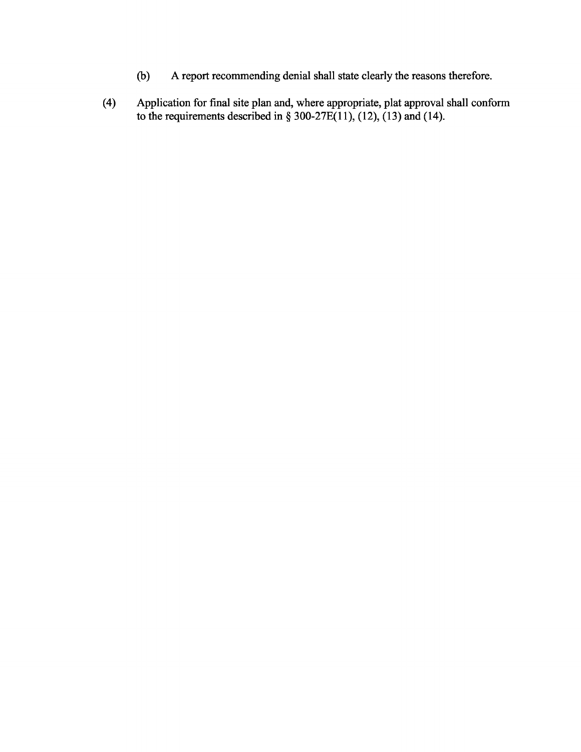- (b) A report recommending denial shall state clearly the reasons therefore.
- (4) Application for final site plan and, where appropriate, plat approval shall conform to the requirements described in  $\S$  300-27E(11), (12), (13) and (14).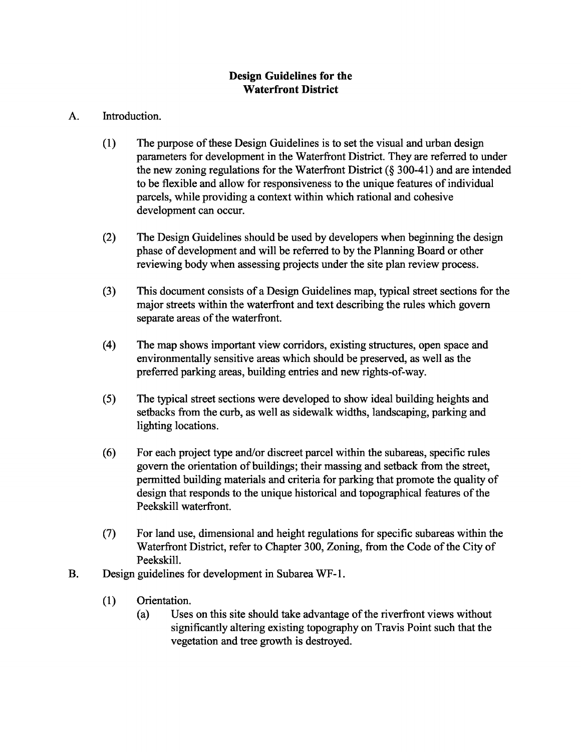# **Design Guidelines for the Waterfront District**

# A. Introduction.

- (1) The purpose of these Design Guidelines is to set the visual and urban design parameters for development in the Waterfront District. They are referred to under the new zoning regulations for the Waterfront District (§ 300-41) and are intended to be flexible and allow for responsiveness to the unique features of individual parcels, while providing a context within which rational and cohesive development can occur.
- (2) The Design Guidelines should be used by developers when beginning the design phase of development and will be referred to by the Planning Board or other reviewing body when assessing projects under the site plan review process.
- (3) This document consists of a Design Guidelines map, typical street sections for the major streets within the waterfront and text describing the rules which govern separate areas of the waterfront.
- (4) The map shows important view corridors, existing structures, open space and environmentally sensitive areas which should be preserved, as well as the preferred parking areas, building entries and new rights-of-way.
- (5) The typical street sections were developed to show ideal building heights and setbacks from the curb, as well as sidewalk widths, landscaping, parking and lighting locations.
- (6) For each project type and/or discreet parcel within the subareas, specific rules govern the orientation of buildings; their massing and setback from the street, permitted building materials and criteria for parking that promote the quality of design that responds to the unique historical and topographical features of the Peekskill waterfront.
- (7) For land use, dimensional and height regulations for specific subareas within the Waterfront District, refer to Chapter 300, Zoning, from the Code of the City of Peekskill.
- B. Design guidelines for development in Subarea WF-l.
	- (1) Orientation.
		- (a) Uses on this site should take advantage of the riverfront views without significantly altering existing topography on Travis Point such that the vegetation and tree growth is destroyed.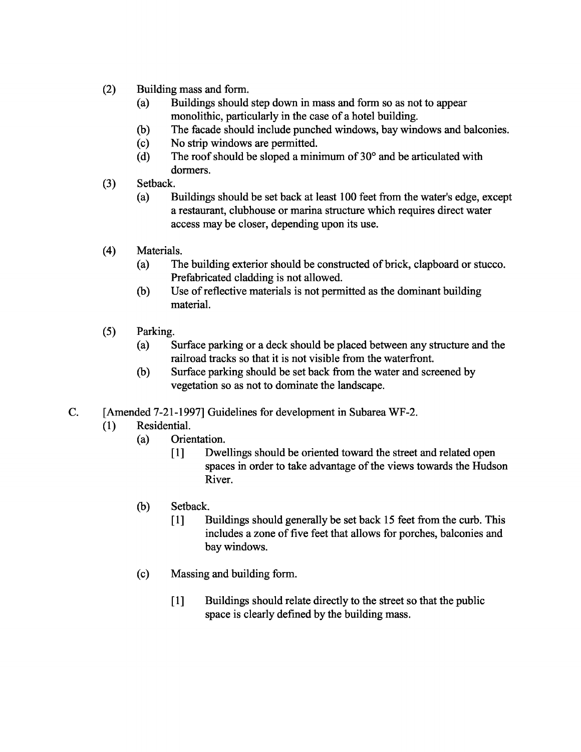- (2) Building mass and form.
	- (a) Buildings should step down in mass and form so as not to appear monolithic, particularly in the case of a hotel building.
	- (b) The facade should include punched windows, bay windows and balconies.
	- (c) No strip windows are permitted.
	- (d) The roof should be sloped a minimum of  $30^{\circ}$  and be articulated with dormers.
- (3) Setback.
	- (a) Buildings should be set back at least 100 feet from the water's edge, except a restaurant, clubhouse or marina structure which requires direct water access may be closer, depending upon its use.
- (4) Materials.
	- (a) The building exterior should be constructed of brick, clapboard or stucco. Prefabricated cladding is not allowed.
	- (b) Use of reflective materials is not permitted as the dominant building material.
- (5) Parking.
	- (a) Surface parking or a deck should be placed between any structure and the railroad tracks so that it is not visible from the waterfront.
	- (b) Surface parking should be set back from the water and screened by vegetation so as not to dominate the landscape.
- c. [Amended 7-21-1997] Guidelines for development in Subarea WF-2.
	- (1) Residential.
		- (a) Orientation.
			- [1] Dwellings should be oriented toward the street and related open spaces in order to take advantage of the views towards the Hudson River.
		- (b) Setback.
			- [1] Buildings should generally be set back 15 feet from the curb. This includes a zone of five feet that allows for porches, balconies and bay windows.
		- (c) Massing and building form.
			- [1] Buildings should relate directly to the street so that the public space is clearly defined by the building mass.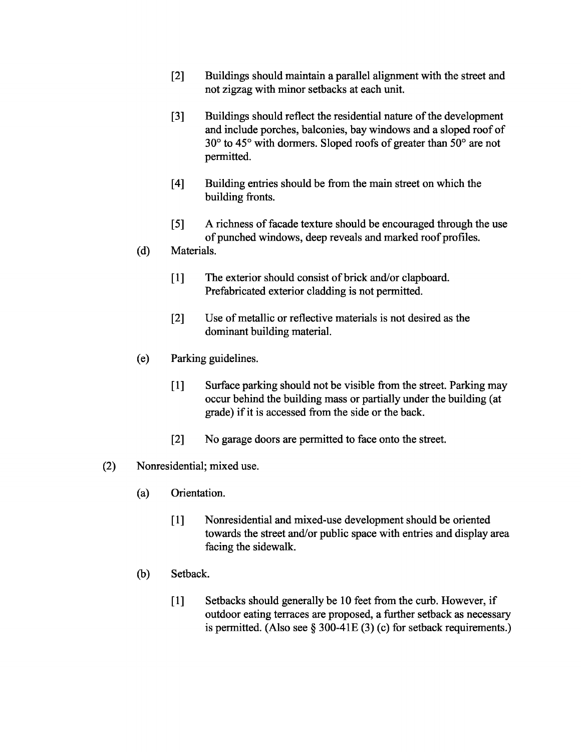- [2] Buildings should maintain a parallel alignment with the street and not zigzag with minor setbacks at each unit.
- [3] Buildings should reflect the residential nature of the development and include porches, balconies, bay windows and a sloped roof of 30° to 45° with dormers. Sloped roofs of greater than 50° are not permitted.
- [4] Building entries should be from the main street on which the building fronts.
- [5] A richness of facade texture should be encouraged through the use of punched windows, deep reveals and marked roof profiles.
- (d) Materials.
	- [1] The exterior should consist of brick and/or clapboard. Prefabricated exterior cladding is not permitted.
	- [2] Use of metallic or reflective materials is not desired as the dominant building material.
- (e) Parking guidelines.
	- [1] Surface parking should not be visible from the street. Parking may occur behind the building mass or partially under the building (at grade) if it is accessed from the side or the back.
	- [2] No garage doors are permitted to face onto the street.
- (2) Nonresidential; mixed use.
	- (a) Orientation.
		- [1] Nonresidential and mixed-use development should be oriented towards the street and/or public space with entries and display area facing the sidewalk.
	- (b) Setback.
		- [1] Setbacks should generally be 10 feet from the curb. However, if outdoor eating terraces are proposed, a further setback as necessary is permitted. (Also see  $\S 300-41E(3)$  (c) for setback requirements.)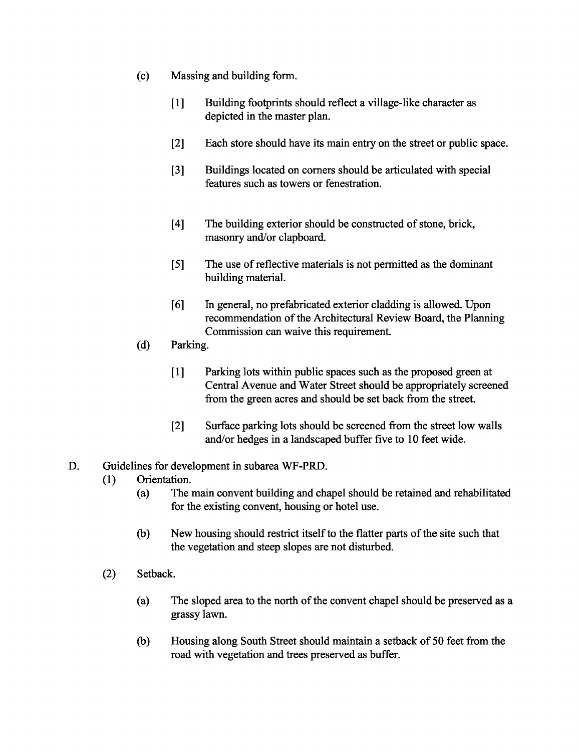- (c) Massing and building form.
	- [1] Building footprints should reflect a village-like character as depicted in the master plan.
	- [2] Each store should have its main entry on the street or public space.
	- [3] Buildings located on comers should be articulated with special features such as towers or fenestration.
	- [4] The building exterior should be constructed of stone, brick, masonry and/or clapboard.
	- [5] The use of reflective materials is not permitted as the dominant building material.
	- [6] In general, no prefabricated exterior cladding is allowed. Upon recommendation of the Architectural Review Board, the Planning Commission can waive this requirement.
- (d) Parking.
	- [1] Parking lots within public spaces such as the proposed green at Central Avenue and Water Street should be appropriately screened from the green acres and should be set back from the street.
	- [2] Surface parking lots should be screened from the street low walls and/or hedges in a landscaped buffer five to 10 feet wide.

#### D. Guidelines for development in subarea WF-PRD.

- (1) Orientation.
	- (a) The main convent building and chapel should be retained and rehabilitated for the existing convent, housing or hotel use.
	- (b) New housing should restrict itself to the flatter parts of the site such that the vegetation and steep slopes are not disturbed.
- (2) Setback.
	- (a) The sloped area to the north of the convent chapel should be preserved as a grassy lawn.
	- (b) Housing along South Street should maintain a setback of 50 feet from the road with vegetation and trees preserved as buffer.